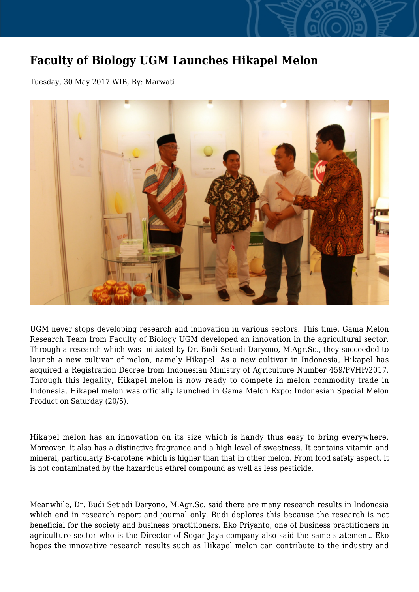## **Faculty of Biology UGM Launches Hikapel Melon**

Tuesday, 30 May 2017 WIB, By: Marwati



UGM never stops developing research and innovation in various sectors. This time, Gama Melon Research Team from Faculty of Biology UGM developed an innovation in the agricultural sector. Through a research which was initiated by Dr. Budi Setiadi Daryono, M.Agr.Sc., they succeeded to launch a new cultivar of melon, namely Hikapel. As a new cultivar in Indonesia, Hikapel has acquired a Registration Decree from Indonesian Ministry of Agriculture Number 459/PVHP/2017. Through this legality, Hikapel melon is now ready to compete in melon commodity trade in Indonesia. Hikapel melon was officially launched in Gama Melon Expo: Indonesian Special Melon Product on Saturday (20/5).

Hikapel melon has an innovation on its size which is handy thus easy to bring everywhere. Moreover, it also has a distinctive fragrance and a high level of sweetness. It contains vitamin and mineral, particularly B-carotene which is higher than that in other melon. From food safety aspect, it is not contaminated by the hazardous ethrel compound as well as less pesticide.

Meanwhile, Dr. Budi Setiadi Daryono, M.Agr.Sc. said there are many research results in Indonesia which end in research report and journal only. Budi deplores this because the research is not beneficial for the society and business practitioners. Eko Priyanto, one of business practitioners in agriculture sector who is the Director of Segar Jaya company also said the same statement. Eko hopes the innovative research results such as Hikapel melon can contribute to the industry and